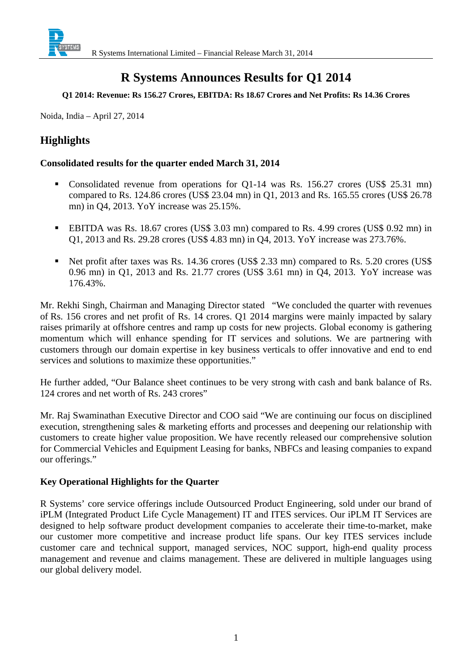

## **R Systems Announces Results for Q1 2014**

### **Q1 2014: Revenue: Rs 156.27 Crores, EBITDA: Rs 18.67 Crores and Net Profits: Rs 14.36 Crores**

Noida, India – April 27, 2014

### **Highlights**

### **Consolidated results for the quarter ended March 31, 2014**

- Consolidated revenue from operations for Q1-14 was Rs. 156.27 crores (US\$ 25.31 mn) compared to Rs. 124.86 crores (US\$ 23.04 mn) in Q1, 2013 and Rs. 165.55 crores (US\$ 26.78 mn) in Q4, 2013. YoY increase was 25.15%.
- EBITDA was Rs. 18.67 crores (US\$ 3.03 mn) compared to Rs. 4.99 crores (US\$ 0.92 mn) in Q1, 2013 and Rs. 29.28 crores (US\$ 4.83 mn) in Q4, 2013. YoY increase was 273.76%.
- Net profit after taxes was Rs. 14.36 crores (US\$ 2.33 mn) compared to Rs. 5.20 crores (US\$ 0.96 mn) in Q1, 2013 and Rs. 21.77 crores (US\$ 3.61 mn) in Q4, 2013. YoY increase was 176.43%.

Mr. Rekhi Singh, Chairman and Managing Director stated "We concluded the quarter with revenues of Rs. 156 crores and net profit of Rs. 14 crores. Q1 2014 margins were mainly impacted by salary raises primarily at offshore centres and ramp up costs for new projects. Global economy is gathering momentum which will enhance spending for IT services and solutions. We are partnering with customers through our domain expertise in key business verticals to offer innovative and end to end services and solutions to maximize these opportunities."

He further added, "Our Balance sheet continues to be very strong with cash and bank balance of Rs. 124 crores and net worth of Rs. 243 crores"

Mr. Raj Swaminathan Executive Director and COO said "We are continuing our focus on disciplined execution, strengthening sales & marketing efforts and processes and deepening our relationship with customers to create higher value proposition. We have recently released our comprehensive solution for Commercial Vehicles and Equipment Leasing for banks, NBFCs and leasing companies to expand our offerings."

### **Key Operational Highlights for the Quarter**

R Systems' core service offerings include Outsourced Product Engineering, sold under our brand of iPLM (Integrated Product Life Cycle Management) IT and ITES services. Our iPLM IT Services are designed to help software product development companies to accelerate their time-to-market, make our customer more competitive and increase product life spans. Our key ITES services include customer care and technical support, managed services, NOC support, high-end quality process management and revenue and claims management. These are delivered in multiple languages using our global delivery model.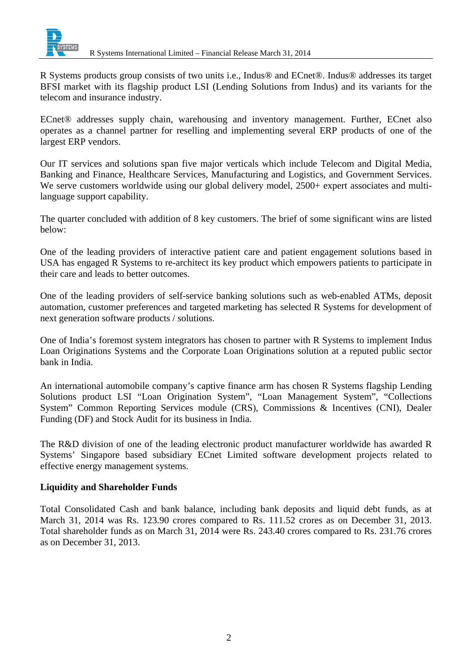

R Systems products group consists of two units i.e., Indus® and ECnet®. Indus® addresses its target BFSI market with its flagship product LSI (Lending Solutions from Indus) and its variants for the telecom and insurance industry.

ECnet® addresses supply chain, warehousing and inventory management. Further, ECnet also operates as a channel partner for reselling and implementing several ERP products of one of the largest ERP vendors.

Our IT services and solutions span five major verticals which include Telecom and Digital Media, Banking and Finance, Healthcare Services, Manufacturing and Logistics, and Government Services. We serve customers worldwide using our global delivery model,  $2500+$  expert associates and multilanguage support capability.

The quarter concluded with addition of 8 key customers. The brief of some significant wins are listed below:

One of the leading providers of interactive patient care and patient engagement solutions based in USA has engaged R Systems to re-architect its key product which empowers patients to participate in their care and leads to better outcomes.

One of the leading providers of self-service banking solutions such as web-enabled ATMs, deposit automation, customer preferences and targeted marketing has selected R Systems for development of next generation software products / solutions.

One of India's foremost system integrators has chosen to partner with R Systems to implement Indus Loan Originations Systems and the Corporate Loan Originations solution at a reputed public sector bank in India.

An international automobile company's captive finance arm has chosen R Systems flagship Lending Solutions product LSI "Loan Origination System", "Loan Management System", "Collections System" Common Reporting Services module (CRS), Commissions & Incentives (CNI), Dealer Funding (DF) and Stock Audit for its business in India.

The R&D division of one of the leading electronic product manufacturer worldwide has awarded R Systems' Singapore based subsidiary ECnet Limited software development projects related to effective energy management systems.

### **Liquidity and Shareholder Funds**

Total Consolidated Cash and bank balance, including bank deposits and liquid debt funds, as at March 31, 2014 was Rs. 123.90 crores compared to Rs. 111.52 crores as on December 31, 2013. Total shareholder funds as on March 31, 2014 were Rs. 243.40 crores compared to Rs. 231.76 crores as on December 31, 2013.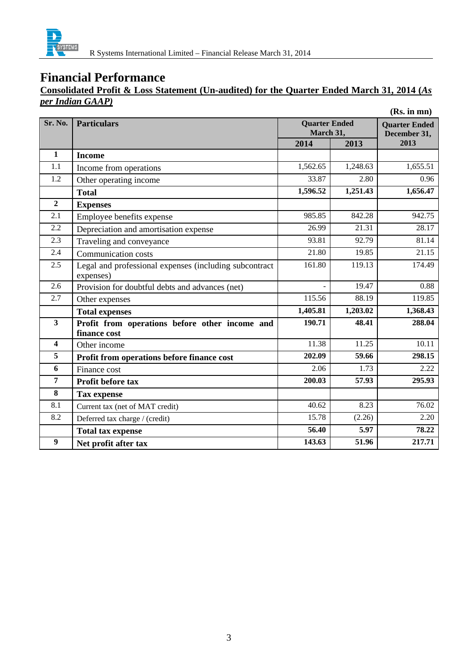

### **Financial Performance**

### **Consolidated Profit & Loss Statement (Un-audited) for the Quarter Ended March 31, 2014 (***As per Indian GAAP)*

|                         |                                                                     |          |                                   | (Rs. in mn) |
|-------------------------|---------------------------------------------------------------------|----------|-----------------------------------|-------------|
| Sr. No.                 | <b>Particulars</b>                                                  |          | <b>Quarter Ended</b><br>March 31, |             |
|                         |                                                                     | 2014     | 2013                              | 2013        |
| $\mathbf{1}$            | <b>Income</b>                                                       |          |                                   |             |
| 1.1                     | Income from operations                                              | 1,562.65 | 1,248.63                          | 1,655.51    |
| 1.2                     | Other operating income                                              | 33.87    | 2.80                              | 0.96        |
|                         | <b>Total</b>                                                        | 1,596.52 | 1,251.43                          | 1,656.47    |
| $\overline{2}$          | <b>Expenses</b>                                                     |          |                                   |             |
| 2.1                     | Employee benefits expense                                           | 985.85   | 842.28                            | 942.75      |
| 2.2                     | Depreciation and amortisation expense                               | 26.99    | 21.31                             | 28.17       |
| 2.3                     | Traveling and conveyance                                            | 93.81    | 92.79                             | 81.14       |
| 2.4                     | <b>Communication costs</b>                                          | 21.80    | 19.85                             | 21.15       |
| 2.5                     | Legal and professional expenses (including subcontract<br>expenses) | 161.80   | 119.13                            | 174.49      |
| 2.6                     | Provision for doubtful debts and advances (net)                     |          | 19.47                             | 0.88        |
| 2.7                     | Other expenses                                                      | 115.56   | 88.19                             | 119.85      |
|                         | <b>Total expenses</b>                                               | 1,405.81 | 1,203.02                          | 1,368.43    |
| $\overline{\mathbf{3}}$ | Profit from operations before other income and<br>finance cost      | 190.71   | 48.41                             | 288.04      |
| $\overline{\mathbf{4}}$ | Other income                                                        | 11.38    | 11.25                             | 10.11       |
| 5                       | Profit from operations before finance cost                          | 202.09   | 59.66                             | 298.15      |
| 6                       | Finance cost                                                        | 2.06     | 1.73                              | 2.22        |
| $\overline{7}$          | Profit before tax                                                   | 200.03   | 57.93                             | 295.93      |
| 8                       | <b>Tax expense</b>                                                  |          |                                   |             |
| 8.1                     | Current tax (net of MAT credit)                                     | 40.62    | 8.23                              | 76.02       |
| 8.2                     | Deferred tax charge / (credit)                                      | 15.78    | (2.26)                            | 2.20        |
|                         | <b>Total tax expense</b>                                            | 56.40    | 5.97                              | 78.22       |
| $\boldsymbol{9}$        | Net profit after tax                                                | 143.63   | 51.96                             | 217.71      |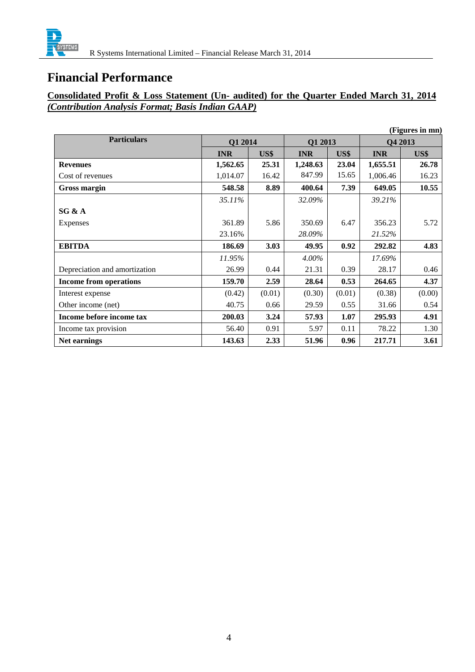

## **Financial Performance**

### **Consolidated Profit & Loss Statement (Un- audited) for the Quarter Ended March 31, 2014**  *(Contribution Analysis Format; Basis Indian GAAP)*

|                               |                    |        |            |        |            | (Figures in mn) |
|-------------------------------|--------------------|--------|------------|--------|------------|-----------------|
| <b>Particulars</b>            | Q1 2014<br>Q1 2013 |        | Q4 2013    |        |            |                 |
|                               | <b>INR</b>         | US\$   | <b>INR</b> | US\$   | <b>INR</b> | US\$            |
| <b>Revenues</b>               | 1,562.65           | 25.31  | 1,248.63   | 23.04  | 1,655.51   | 26.78           |
| Cost of revenues              | 1,014.07           | 16.42  | 847.99     | 15.65  | 1,006.46   | 16.23           |
| Gross margin                  | 548.58             | 8.89   | 400.64     | 7.39   | 649.05     | 10.55           |
|                               | 35.11%             |        | 32.09%     |        | 39.21%     |                 |
| SG & A                        |                    |        |            |        |            |                 |
| Expenses                      | 361.89             | 5.86   | 350.69     | 6.47   | 356.23     | 5.72            |
|                               | 23.16%             |        | 28.09%     |        | 21.52%     |                 |
| <b>EBITDA</b>                 | 186.69             | 3.03   | 49.95      | 0.92   | 292.82     | 4.83            |
|                               | 11.95%             |        | $4.00\%$   |        | 17.69%     |                 |
| Depreciation and amortization | 26.99              | 0.44   | 21.31      | 0.39   | 28.17      | 0.46            |
| <b>Income from operations</b> | 159.70             | 2.59   | 28.64      | 0.53   | 264.65     | 4.37            |
| Interest expense              | (0.42)             | (0.01) | (0.30)     | (0.01) | (0.38)     | (0.00)          |
| Other income (net)            | 40.75              | 0.66   | 29.59      | 0.55   | 31.66      | 0.54            |
| Income before income tax      | 200.03             | 3.24   | 57.93      | 1.07   | 295.93     | 4.91            |
| Income tax provision          | 56.40              | 0.91   | 5.97       | 0.11   | 78.22      | 1.30            |
| Net earnings                  | 143.63             | 2.33   | 51.96      | 0.96   | 217.71     | 3.61            |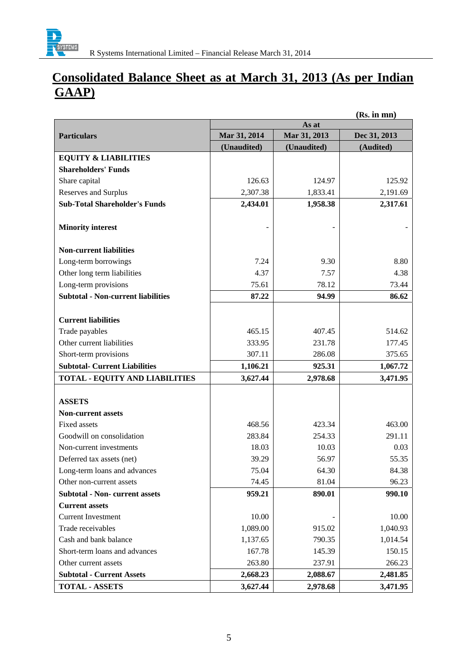

# **Consolidated Balance Sheet as at March 31, 2013 (As per Indian GAAP)**

|                                           | (Ks. In mn)  |              |              |  |
|-------------------------------------------|--------------|--------------|--------------|--|
|                                           |              | As at        |              |  |
| <b>Particulars</b>                        | Mar 31, 2014 | Mar 31, 2013 | Dec 31, 2013 |  |
|                                           | (Unaudited)  | (Unaudited)  | (Audited)    |  |
| <b>EQUITY &amp; LIABILITIES</b>           |              |              |              |  |
| <b>Shareholders' Funds</b>                |              |              |              |  |
| Share capital                             | 126.63       | 124.97       | 125.92       |  |
| Reserves and Surplus                      | 2,307.38     | 1,833.41     | 2,191.69     |  |
| <b>Sub-Total Shareholder's Funds</b>      | 2,434.01     | 1,958.38     | 2,317.61     |  |
|                                           |              |              |              |  |
| <b>Minority interest</b>                  |              |              |              |  |
| <b>Non-current liabilities</b>            |              |              |              |  |
| Long-term borrowings                      | 7.24         | 9.30         | 8.80         |  |
| Other long term liabilities               | 4.37         | 7.57         | 4.38         |  |
| Long-term provisions                      | 75.61        | 78.12        | 73.44        |  |
| <b>Subtotal - Non-current liabilities</b> | 87.22        | 94.99        | 86.62        |  |
|                                           |              |              |              |  |
| <b>Current liabilities</b>                |              |              |              |  |
| Trade payables                            | 465.15       | 407.45       | 514.62       |  |
| Other current liabilities                 | 333.95       | 231.78       | 177.45       |  |
| Short-term provisions                     | 307.11       | 286.08       | 375.65       |  |
| <b>Subtotal- Current Liabilities</b>      | 1,106.21     | 925.31       | 1,067.72     |  |
| <b>TOTAL - EQUITY AND LIABILITIES</b>     | 3,627.44     | 2,978.68     | 3,471.95     |  |
|                                           |              |              |              |  |
| <b>ASSETS</b>                             |              |              |              |  |
| <b>Non-current assets</b>                 |              |              |              |  |
| <b>Fixed assets</b>                       | 468.56       | 423.34       | 463.00       |  |
| Goodwill on consolidation                 | 283.84       | 254.33       | 291.11       |  |
| Non-current investments                   | 18.03        | 10.03        | 0.03         |  |
| Deferred tax assets (net)                 | 39.29        | 56.97        | 55.35        |  |
| Long-term loans and advances              | 75.04        | 64.30        | 84.38        |  |
| Other non-current assets                  | 74.45        | 81.04        | 96.23        |  |
| <b>Subtotal - Non- current assets</b>     | 959.21       | 890.01       | 990.10       |  |
| <b>Current assets</b>                     |              |              |              |  |
| <b>Current Investment</b>                 | 10.00        |              | 10.00        |  |
| Trade receivables                         | 1,089.00     | 915.02       | 1,040.93     |  |
| Cash and bank balance                     | 1,137.65     | 790.35       | 1,014.54     |  |
| Short-term loans and advances             | 167.78       | 145.39       | 150.15       |  |
| Other current assets                      | 263.80       | 237.91       | 266.23       |  |
| <b>Subtotal - Current Assets</b>          | 2,668.23     | 2,088.67     | 2,481.85     |  |
| <b>TOTAL - ASSETS</b>                     | 3,627.44     | 2,978.68     | 3,471.95     |  |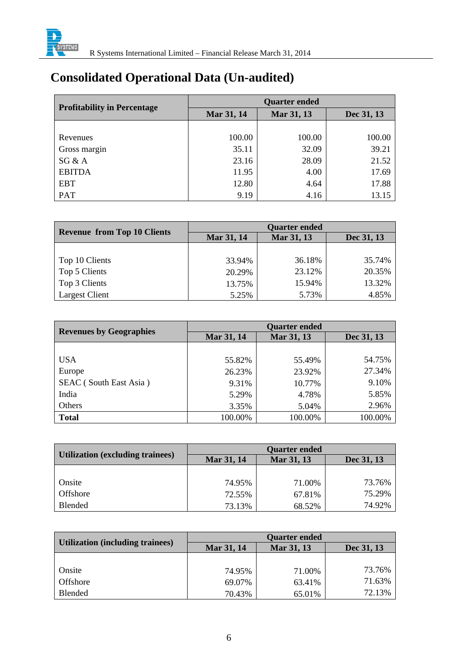

# **Consolidated Operational Data (Un-audited)**

| <b>Profitability in Percentage</b> | <b>Quarter ended</b> |            |            |  |
|------------------------------------|----------------------|------------|------------|--|
|                                    | Mar 31, 14           | Mar 31, 13 | Dec 31, 13 |  |
|                                    |                      |            |            |  |
| Revenues                           | 100.00               | 100.00     | 100.00     |  |
| Gross margin                       | 35.11                | 32.09      | 39.21      |  |
| SG & A                             | 23.16                | 28.09      | 21.52      |  |
| <b>EBITDA</b>                      | 11.95                | 4.00       | 17.69      |  |
| <b>EBT</b>                         | 12.80                | 4.64       | 17.88      |  |
| PAT                                | 9.19                 | 4.16       | 13.15      |  |

|                                    | <b>Quarter ended</b> |            |            |  |
|------------------------------------|----------------------|------------|------------|--|
| <b>Revenue from Top 10 Clients</b> | Mar 31, 14           | Mar 31, 13 | Dec 31, 13 |  |
|                                    |                      |            |            |  |
| Top 10 Clients                     | 33.94%               | 36.18%     | 35.74%     |  |
| Top 5 Clients                      | 20.29%               | 23.12%     | 20.35%     |  |
| Top 3 Clients                      | 13.75%               | 15.94%     | 13.32%     |  |
| <b>Largest Client</b>              | 5.25%                | 5.73%      | 4.85%      |  |

| <b>Revenues by Geographies</b> | <b>Quarter ended</b> |            |            |  |
|--------------------------------|----------------------|------------|------------|--|
|                                | Mar 31, 14           | Mar 31, 13 | Dec 31, 13 |  |
|                                |                      |            |            |  |
| <b>USA</b>                     | 55.82%               | 55.49%     | 54.75%     |  |
| Europe                         | 26.23%               | 23.92%     | 27.34%     |  |
| SEAC (South East Asia)         | 9.31%                | 10.77%     | 9.10%      |  |
| India                          | 5.29%                | 4.78%      | 5.85%      |  |
| Others                         | 3.35%                | 5.04%      | 2.96%      |  |
| <b>Total</b>                   | 100.00%              | 100.00%    | 100.00%    |  |

| <b>Utilization (excluding trainees)</b> | <b>Quarter ended</b> |            |            |
|-----------------------------------------|----------------------|------------|------------|
|                                         | Mar 31, 14           | Mar 31, 13 | Dec 31, 13 |
|                                         |                      |            |            |
| Onsite                                  | 74.95%               | 71.00%     | 73.76%     |
| <b>Offshore</b>                         | 72.55%               | 67.81%     | 75.29%     |
| <b>Blended</b>                          | 73.13%               | 68.52%     | 74.92%     |

|                                         | <b>Quarter ended</b> |            |            |
|-----------------------------------------|----------------------|------------|------------|
| <b>Utilization (including trainees)</b> | Mar 31, 14           | Mar 31, 13 | Dec 31, 13 |
|                                         |                      |            |            |
| Onsite                                  | 74.95%               | 71.00%     | 73.76%     |
| Offshore                                | 69.07%               | 63.41%     | 71.63%     |
| <b>Blended</b>                          | 70.43%               | 65.01%     | 72.13%     |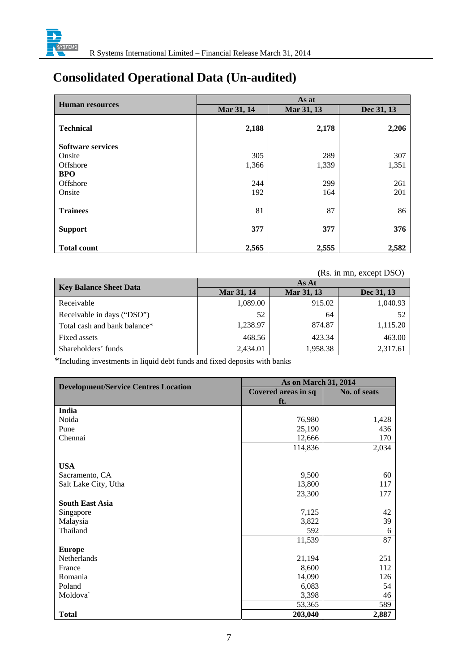

# **Consolidated Operational Data (Un-audited)**

|                          | As at      |            |            |
|--------------------------|------------|------------|------------|
| <b>Human resources</b>   | Mar 31, 14 | Mar 31, 13 | Dec 31, 13 |
| <b>Technical</b>         | 2,188      | 2,178      | 2,206      |
| <b>Software services</b> |            |            |            |
| Onsite                   | 305        | 289        | 307        |
| Offshore                 | 1,366      | 1,339      | 1,351      |
| <b>BPO</b>               |            |            |            |
| Offshore                 | 244        | 299        | 261        |
| Onsite                   | 192        | 164        | 201        |
| <b>Trainees</b>          | 81         | 87         | 86         |
| <b>Support</b>           | 377        | 377        | 376        |
| <b>Total count</b>       | 2,565      | 2,555      | 2,582      |

#### **(**Rs. in mn, except DSO)

| <b>Key Balance Sheet Data</b> | As At      |            |            |  |
|-------------------------------|------------|------------|------------|--|
|                               | Mar 31, 14 | Mar 31, 13 | Dec 31, 13 |  |
| Receivable                    | 1,089.00   | 915.02     | 1,040.93   |  |
| Receivable in days ("DSO")    | 52         | 64         | 52         |  |
| Total cash and bank balance*  | 1,238.97   | 874.87     | 1,115.20   |  |
| Fixed assets                  | 468.56     | 423.34     | 463.00     |  |
| Shareholders' funds           | 2,434.01   | 1,958.38   | 2,317.61   |  |

\*Including investments in liquid debt funds and fixed deposits with banks

|                                             | <b>As on March 31, 2014</b> |              |
|---------------------------------------------|-----------------------------|--------------|
| <b>Development/Service Centres Location</b> | Covered areas in sq         | No. of seats |
|                                             | ft.                         |              |
| India                                       |                             |              |
| Noida                                       | 76,980                      | 1,428        |
| Pune                                        | 25,190                      | 436          |
| Chennai                                     | 12,666                      | 170          |
|                                             | 114,836                     | 2,034        |
|                                             |                             |              |
| <b>USA</b>                                  |                             |              |
| Sacramento, CA                              | 9,500                       | 60           |
| Salt Lake City, Utha                        | 13,800                      | 117          |
|                                             | 23,300                      | 177          |
| <b>South East Asia</b>                      |                             |              |
| Singapore                                   | 7,125                       | 42           |
| Malaysia                                    | 3,822                       | 39           |
| Thailand                                    | 592                         | 6            |
|                                             | 11,539                      | 87           |
| <b>Europe</b>                               |                             |              |
| Netherlands                                 | 21,194                      | 251          |
| France                                      | 8,600                       | 112          |
| Romania                                     | 14,090                      | 126          |
| Poland                                      | 6,083                       | 54           |
| Moldova                                     | 3,398                       | 46           |
|                                             | 53,365                      | 589          |
| <b>Total</b>                                | 203,040                     | 2,887        |